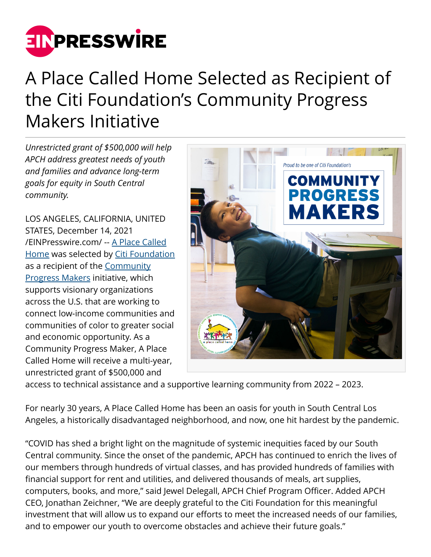

## A Place Called Home Selected as Recipient of the Citi Foundation's Community Progress Makers Initiative

*Unrestricted grant of \$500,000 will help APCH address greatest needs of youth and families and advance long-term goals for equity in South Central community.*

LOS ANGELES, CALIFORNIA, UNITED STATES, December 14, 2021 [/EINPresswire.com/](http://www.einpresswire.com) -- [A Place Called](http://apch.org) [Home](http://apch.org) was selected by [Citi Foundation](https://www.citigroup.com/citi/foundation/) as a recipient of the [Community](https://www.citigroup.com/citi/foundation/programs/community-progress-makers-fund.htm) [Progress Makers](https://www.citigroup.com/citi/foundation/programs/community-progress-makers-fund.htm) initiative, which supports visionary organizations across the U.S. that are working to connect low-income communities and communities of color to greater social and economic opportunity. As a Community Progress Maker, A Place Called Home will receive a multi-year, unrestricted grant of \$500,000 and



access to technical assistance and a supportive learning community from 2022 – 2023.

For nearly 30 years, A Place Called Home has been an oasis for youth in South Central Los Angeles, a historically disadvantaged neighborhood, and now, one hit hardest by the pandemic.

"COVID has shed a bright light on the magnitude of systemic inequities faced by our South Central community. Since the onset of the pandemic, APCH has continued to enrich the lives of our members through hundreds of virtual classes, and has provided hundreds of families with financial support for rent and utilities, and delivered thousands of meals, art supplies, computers, books, and more," said Jewel Delegall, APCH Chief Program Officer. Added APCH CEO, Jonathan Zeichner, "We are deeply grateful to the Citi Foundation for this meaningful investment that will allow us to expand our efforts to meet the increased needs of our families, and to empower our youth to overcome obstacles and achieve their future goals."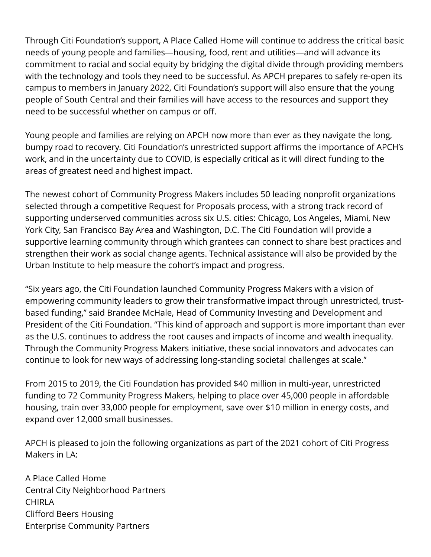Through Citi Foundation's support, A Place Called Home will continue to address the critical basic needs of young people and families—housing, food, rent and utilities—and will advance its commitment to racial and social equity by bridging the digital divide through providing members with the technology and tools they need to be successful. As APCH prepares to safely re-open its campus to members in January 2022, Citi Foundation's support will also ensure that the young people of South Central and their families will have access to the resources and support they need to be successful whether on campus or off.

Young people and families are relying on APCH now more than ever as they navigate the long, bumpy road to recovery. Citi Foundation's unrestricted support affirms the importance of APCH's work, and in the uncertainty due to COVID, is especially critical as it will direct funding to the areas of greatest need and highest impact.

The newest cohort of Community Progress Makers includes 50 leading nonprofit organizations selected through a competitive Request for Proposals process, with a strong track record of supporting underserved communities across six U.S. cities: Chicago, Los Angeles, Miami, New York City, San Francisco Bay Area and Washington, D.C. The Citi Foundation will provide a supportive learning community through which grantees can connect to share best practices and strengthen their work as social change agents. Technical assistance will also be provided by the Urban Institute to help measure the cohort's impact and progress.

"Six years ago, the Citi Foundation launched Community Progress Makers with a vision of empowering community leaders to grow their transformative impact through unrestricted, trustbased funding," said Brandee McHale, Head of Community Investing and Development and President of the Citi Foundation. "This kind of approach and support is more important than ever as the U.S. continues to address the root causes and impacts of income and wealth inequality. Through the Community Progress Makers initiative, these social innovators and advocates can continue to look for new ways of addressing long-standing societal challenges at scale."

From 2015 to 2019, the Citi Foundation has provided \$40 million in multi-year, unrestricted funding to 72 Community Progress Makers, helping to place over 45,000 people in affordable housing, train over 33,000 people for employment, save over \$10 million in energy costs, and expand over 12,000 small businesses.

APCH is pleased to join the following organizations as part of the 2021 cohort of Citi Progress Makers in LA:

A Place Called Home Central City Neighborhood Partners CHIRLA Clifford Beers Housing Enterprise Community Partners